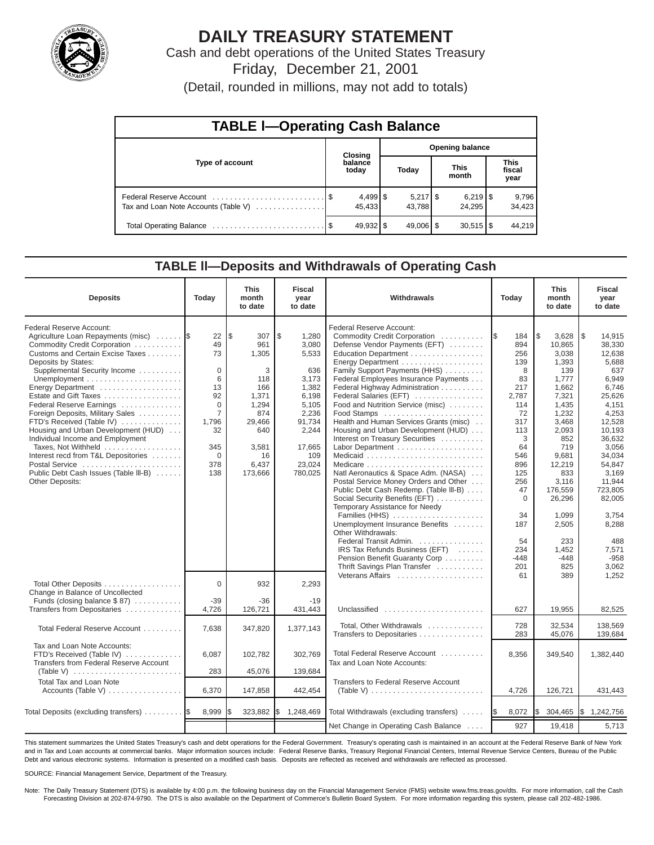

# **DAILY TREASURY STATEMENT**

Cash and debt operations of the United States Treasury Friday, December 21, 2001

(Detail, rounded in millions, may not add to totals)

| <b>TABLE I-Operating Cash Balance</b> |  |                      |                        |                              |  |                        |  |                               |  |
|---------------------------------------|--|----------------------|------------------------|------------------------------|--|------------------------|--|-------------------------------|--|
|                                       |  | Closing              | <b>Opening balance</b> |                              |  |                        |  |                               |  |
| Type of account                       |  | balance<br>today     |                        | Today                        |  | <b>This</b><br>month   |  | <b>This</b><br>fiscal<br>year |  |
| Tax and Loan Note Accounts (Table V)  |  | $4,499$ \$<br>45.433 |                        | $5,217$ $\sqrt{5}$<br>43.788 |  | 24.295                 |  | 9,796<br>34,423               |  |
|                                       |  | 49,932 \$            |                        | $49,006$ \$                  |  | $30,515$ $\frac{8}{3}$ |  | 44.219                        |  |

#### **TABLE ll—Deposits and Withdrawals of Operating Cash**

| <b>Deposits</b>                                                                                                                                                                                                                                                                                                                                                                                                                                                                                                                                             | Today                                                                                                                           | <b>This</b><br>month<br>to date                                                                                             | <b>Fiscal</b><br>year<br>to date                                                                                                           | Withdrawals                                                                                                                                                                                                                                                                                                                                                                                                                                                                                                                                                                                                                                                                                                                                                                                                                                                                                         | Today                                                                                                                                                                                              | <b>This</b><br>month<br>to date                                                                                                                                                                                                                | <b>Fiscal</b><br>year<br>to date                                                                                                                                                                                                                                 |
|-------------------------------------------------------------------------------------------------------------------------------------------------------------------------------------------------------------------------------------------------------------------------------------------------------------------------------------------------------------------------------------------------------------------------------------------------------------------------------------------------------------------------------------------------------------|---------------------------------------------------------------------------------------------------------------------------------|-----------------------------------------------------------------------------------------------------------------------------|--------------------------------------------------------------------------------------------------------------------------------------------|-----------------------------------------------------------------------------------------------------------------------------------------------------------------------------------------------------------------------------------------------------------------------------------------------------------------------------------------------------------------------------------------------------------------------------------------------------------------------------------------------------------------------------------------------------------------------------------------------------------------------------------------------------------------------------------------------------------------------------------------------------------------------------------------------------------------------------------------------------------------------------------------------------|----------------------------------------------------------------------------------------------------------------------------------------------------------------------------------------------------|------------------------------------------------------------------------------------------------------------------------------------------------------------------------------------------------------------------------------------------------|------------------------------------------------------------------------------------------------------------------------------------------------------------------------------------------------------------------------------------------------------------------|
| Federal Reserve Account:<br>Agriculture Loan Repayments (misc)<br>Commodity Credit Corporation<br>Customs and Certain Excise Taxes<br>Deposits by States:<br>Supplemental Security Income<br>Energy Department<br>Estate and Gift Taxes<br>Federal Reserve Earnings<br>Foreign Deposits, Military Sales<br>FTD's Received (Table IV)<br>Housing and Urban Development (HUD)<br>Individual Income and Employment<br>Taxes, Not Withheld<br>Interest recd from T&L Depositories<br>Postal Service<br>Public Debt Cash Issues (Table III-B)<br>Other Deposits: | 22<br>49<br>73<br>$\mathbf 0$<br>6<br>13<br>92<br>$\Omega$<br>$\overline{7}$<br>1,796<br>32<br>345<br>$\mathbf 0$<br>378<br>138 | l \$<br>307<br>961<br>1,305<br>3<br>118<br>166<br>1,371<br>1,294<br>874<br>29,466<br>640<br>3,581<br>16<br>6,437<br>173,666 | \$<br>1,280<br>3,080<br>5,533<br>636<br>3,173<br>1,382<br>6,198<br>5,105<br>2,236<br>91,734<br>2,244<br>17,665<br>109<br>23,024<br>780,025 | Federal Reserve Account:<br>Commodity Credit Corporation<br>Defense Vendor Payments (EFT)<br>Education Department<br>Energy Department<br>Family Support Payments (HHS)<br>Federal Employees Insurance Payments<br>Federal Highway Administration<br>Federal Salaries (EFT)<br>Food and Nutrition Service (misc)<br>Food Stamps<br>Health and Human Services Grants (misc)<br>Housing and Urban Development (HUD)<br>Interest on Treasury Securities<br>Labor Department<br>Natl Aeronautics & Space Adm. (NASA)<br>Postal Service Money Orders and Other<br>Public Debt Cash Redemp. (Table III-B)<br>Social Security Benefits (EFT)<br>Temporary Assistance for Needy<br>Families (HHS)<br>Unemployment Insurance Benefits<br>Other Withdrawals:<br>Federal Transit Admin.<br>IRS Tax Refunds Business (EFT)<br>Pension Benefit Guaranty Corp<br>Thrift Savings Plan Transfer<br>Veterans Affairs | 1\$<br>184<br>894<br>256<br>139<br>8<br>83<br>217<br>2,787<br>114<br>72<br>317<br>113<br>3<br>64<br>546<br>896<br>125<br>256<br>47<br>$\mathbf 0$<br>34<br>187<br>54<br>234<br>$-448$<br>201<br>61 | l\$<br>3,628<br>10,865<br>3,038<br>1,393<br>139<br>1,777<br>1,662<br>7,321<br>1,435<br>1,232<br>3,468<br>2,093<br>852<br>719<br>9,681<br>12,219<br>833<br>3,116<br>176,559<br>26,296<br>1.099<br>2,505<br>233<br>1,452<br>$-448$<br>825<br>389 | 1\$<br>14,915<br>38,330<br>12,638<br>5,688<br>637<br>6,949<br>6,746<br>25,626<br>4,151<br>4,253<br>12,528<br>10,193<br>36,632<br>3,056<br>34,034<br>54,847<br>3,169<br>11,944<br>723,805<br>82,005<br>3.754<br>8,288<br>488<br>7,571<br>$-958$<br>3,062<br>1.252 |
| Total Other Deposits<br>Change in Balance of Uncollected<br>Funds (closing balance \$87)                                                                                                                                                                                                                                                                                                                                                                                                                                                                    | $\Omega$<br>$-39$                                                                                                               | 932<br>$-36$                                                                                                                | 2,293<br>$-19$                                                                                                                             |                                                                                                                                                                                                                                                                                                                                                                                                                                                                                                                                                                                                                                                                                                                                                                                                                                                                                                     |                                                                                                                                                                                                    |                                                                                                                                                                                                                                                |                                                                                                                                                                                                                                                                  |
| Transfers from Depositaries                                                                                                                                                                                                                                                                                                                                                                                                                                                                                                                                 | 4,726                                                                                                                           | 126,721                                                                                                                     | 431,443                                                                                                                                    | Unclassified                                                                                                                                                                                                                                                                                                                                                                                                                                                                                                                                                                                                                                                                                                                                                                                                                                                                                        | 627                                                                                                                                                                                                | 19,955                                                                                                                                                                                                                                         | 82,525                                                                                                                                                                                                                                                           |
| Total Federal Reserve Account                                                                                                                                                                                                                                                                                                                                                                                                                                                                                                                               | 7,638                                                                                                                           | 347,820                                                                                                                     | 1,377,143                                                                                                                                  | Total, Other Withdrawals<br>Transfers to Depositaries                                                                                                                                                                                                                                                                                                                                                                                                                                                                                                                                                                                                                                                                                                                                                                                                                                               | 728<br>283                                                                                                                                                                                         | 32.534<br>45,076                                                                                                                                                                                                                               | 138.569<br>139,684                                                                                                                                                                                                                                               |
| Tax and Loan Note Accounts:<br>FTD's Received (Table IV)<br>Transfers from Federal Reserve Account<br>(Table V) $\ldots \ldots \ldots \ldots \ldots \ldots \ldots \ldots$                                                                                                                                                                                                                                                                                                                                                                                   | 6,087<br>283                                                                                                                    | 102,782<br>45,076                                                                                                           | 302,769<br>139,684                                                                                                                         | Total Federal Reserve Account<br>Tax and Loan Note Accounts:                                                                                                                                                                                                                                                                                                                                                                                                                                                                                                                                                                                                                                                                                                                                                                                                                                        | 8,356                                                                                                                                                                                              | 349,540                                                                                                                                                                                                                                        | 1,382,440                                                                                                                                                                                                                                                        |
| <b>Total Tax and Loan Note</b><br>Accounts (Table V)                                                                                                                                                                                                                                                                                                                                                                                                                                                                                                        | 6,370                                                                                                                           | 147,858                                                                                                                     | 442,454                                                                                                                                    | <b>Transfers to Federal Reserve Account</b><br>(Table V) $\ldots \ldots \ldots \ldots \ldots \ldots \ldots \ldots$                                                                                                                                                                                                                                                                                                                                                                                                                                                                                                                                                                                                                                                                                                                                                                                  | 4,726                                                                                                                                                                                              | 126,721                                                                                                                                                                                                                                        | 431,443                                                                                                                                                                                                                                                          |
| Total Deposits (excluding transfers)                                                                                                                                                                                                                                                                                                                                                                                                                                                                                                                        | 8,999                                                                                                                           | 323,882                                                                                                                     | l\$<br>1,248,469                                                                                                                           | Total Withdrawals (excluding transfers)                                                                                                                                                                                                                                                                                                                                                                                                                                                                                                                                                                                                                                                                                                                                                                                                                                                             | 8,072<br>I\$                                                                                                                                                                                       | I\$<br>304,465                                                                                                                                                                                                                                 | \$1,242,756                                                                                                                                                                                                                                                      |
|                                                                                                                                                                                                                                                                                                                                                                                                                                                                                                                                                             |                                                                                                                                 |                                                                                                                             |                                                                                                                                            | Net Change in Operating Cash Balance                                                                                                                                                                                                                                                                                                                                                                                                                                                                                                                                                                                                                                                                                                                                                                                                                                                                | 927                                                                                                                                                                                                | 19,418                                                                                                                                                                                                                                         | 5,713                                                                                                                                                                                                                                                            |

This statement summarizes the United States Treasury's cash and debt operations for the Federal Government. Treasury's operating cash is maintained in an account at the Federal Reserve Bank of New York and in Tax and Loan accounts at commercial banks. Major information sources include: Federal Reserve Banks, Treasury Regional Financial Centers, Internal Revenue Service Centers, Bureau of the Public Debt and various electronic systems. Information is presented on a modified cash basis. Deposits are reflected as received and withdrawals are reflected as processed.

SOURCE: Financial Management Service, Department of the Treasury.

Note: The Daily Treasury Statement (DTS) is available by 4:00 p.m. the following business day on the Financial Management Service (FMS) website www.fms.treas.gov/dts. For more information, call the Cash Forecasting Division at 202-874-9790. The DTS is also available on the Department of Commerce's Bulletin Board System. For more information regarding this system, please call 202-482-1986.